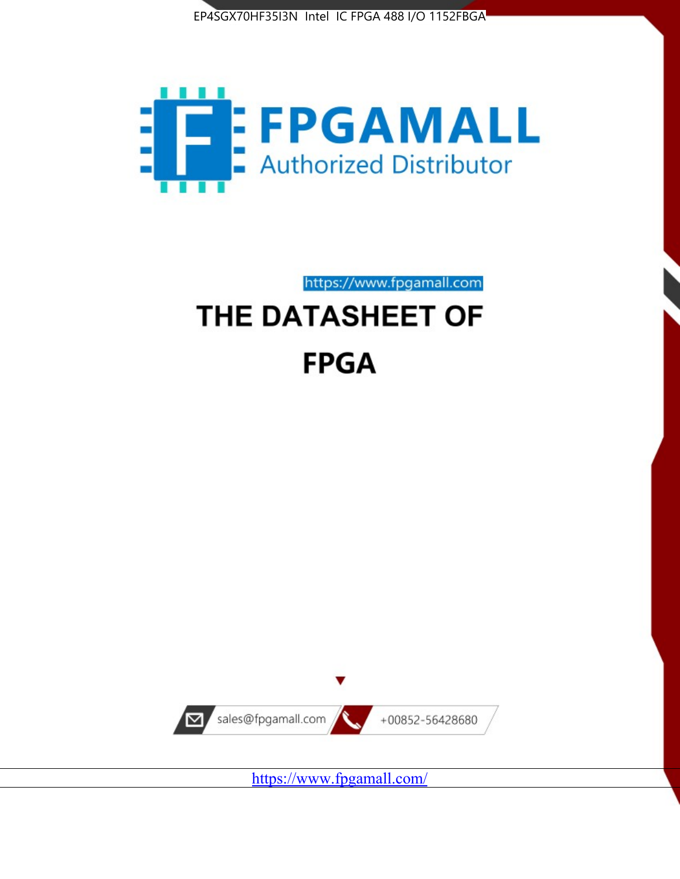



https://www.fpgamall.com

# THE DATASHEET OF **FPGA**



<https://www.fpgamall.com/>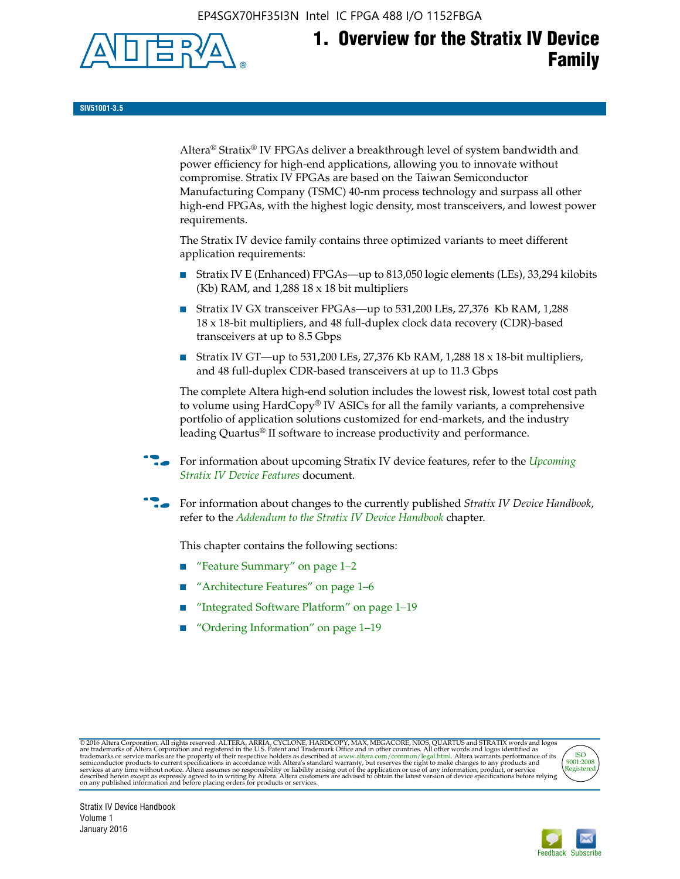EP4SGX70HF35I3N Intel IC FPGA 488 I/O 1152FBGA



# **1. Overview for the Stratix IV Device Family**

**SIV51001-3.5**

Altera® Stratix® IV FPGAs deliver a breakthrough level of system bandwidth and power efficiency for high-end applications, allowing you to innovate without compromise. Stratix IV FPGAs are based on the Taiwan Semiconductor Manufacturing Company (TSMC) 40-nm process technology and surpass all other high-end FPGAs, with the highest logic density, most transceivers, and lowest power requirements.

The Stratix IV device family contains three optimized variants to meet different application requirements:

- Stratix IV E (Enhanced) FPGAs—up to 813,050 logic elements (LEs), 33,294 kilobits (Kb) RAM, and 1,288 18 x 18 bit multipliers
- Stratix IV GX transceiver FPGAs—up to 531,200 LEs, 27,376 Kb RAM, 1,288 18 x 18-bit multipliers, and 48 full-duplex clock data recovery (CDR)-based transceivers at up to 8.5 Gbps
- Stratix IV GT—up to 531,200 LEs, 27,376 Kb RAM, 1,288 18 x 18-bit multipliers, and 48 full-duplex CDR-based transceivers at up to 11.3 Gbps

The complete Altera high-end solution includes the lowest risk, lowest total cost path to volume using HardCopy® IV ASICs for all the family variants, a comprehensive portfolio of application solutions customized for end-markets, and the industry leading Quartus® II software to increase productivity and performance.

f For information about upcoming Stratix IV device features, refer to the *[Upcoming](http://www.altera.com/literature/hb/stratix-iv/uf01001.pdf?GSA_pos=2&WT.oss_r=1&WT.oss=upcoming)  [Stratix IV Device Features](http://www.altera.com/literature/hb/stratix-iv/uf01001.pdf?GSA_pos=2&WT.oss_r=1&WT.oss=upcoming)* document.

f For information about changes to the currently published *Stratix IV Device Handbook*, refer to the *[Addendum to the Stratix IV Device Handbook](http://www.altera.com/literature/hb/stratix-iv/stx4_siv54002.pdf)* chapter.

This chapter contains the following sections:

- "Feature Summary" on page 1–2
- "Architecture Features" on page 1–6
- "Integrated Software Platform" on page 1–19
- "Ordering Information" on page 1–19

@2016 Altera Corporation. All rights reserved. ALTERA, ARRIA, CYCLONE, HARDCOPY, MAX, MEGACORE, NIOS, QUARTUS and STRATIX words and logos are trademarks of Altera Corporation and registered in the U.S. Patent and Trademark



Stratix IV Device Handbook Volume 1 January 2016

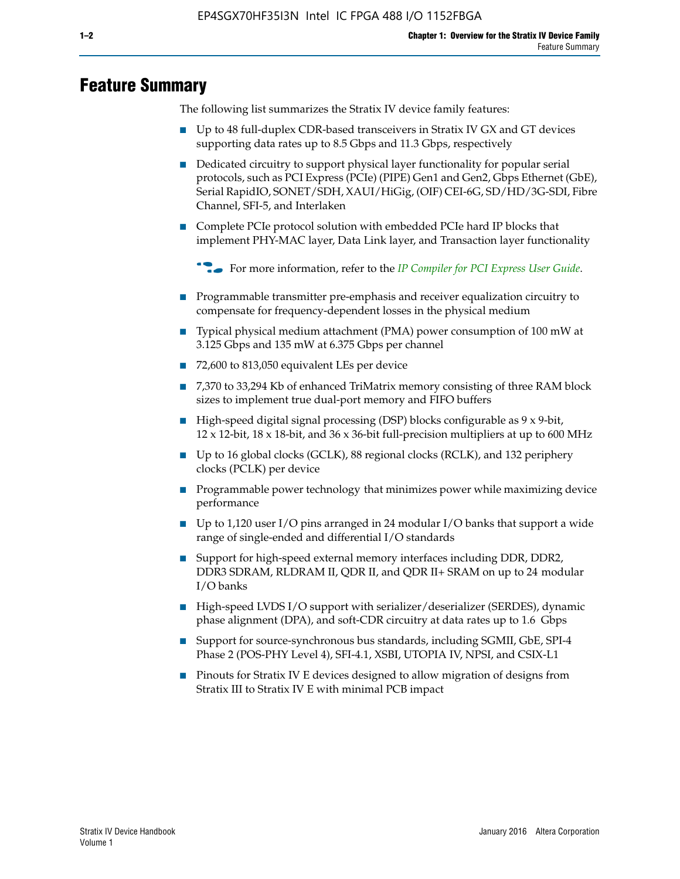# **Feature Summary**

The following list summarizes the Stratix IV device family features:

- Up to 48 full-duplex CDR-based transceivers in Stratix IV GX and GT devices supporting data rates up to 8.5 Gbps and 11.3 Gbps, respectively
- Dedicated circuitry to support physical layer functionality for popular serial protocols, such as PCI Express (PCIe) (PIPE) Gen1 and Gen2, Gbps Ethernet (GbE), Serial RapidIO, SONET/SDH, XAUI/HiGig, (OIF) CEI-6G, SD/HD/3G-SDI, Fibre Channel, SFI-5, and Interlaken
- Complete PCIe protocol solution with embedded PCIe hard IP blocks that implement PHY-MAC layer, Data Link layer, and Transaction layer functionality

**For more information, refer to the** *[IP Compiler for PCI Express User Guide](http://www.altera.com/literature/ug/ug_pci_express.pdf)***.** 

- Programmable transmitter pre-emphasis and receiver equalization circuitry to compensate for frequency-dependent losses in the physical medium
- Typical physical medium attachment (PMA) power consumption of 100 mW at 3.125 Gbps and 135 mW at 6.375 Gbps per channel
- 72,600 to 813,050 equivalent LEs per device
- 7,370 to 33,294 Kb of enhanced TriMatrix memory consisting of three RAM block sizes to implement true dual-port memory and FIFO buffers
- High-speed digital signal processing (DSP) blocks configurable as 9 x 9-bit,  $12 \times 12$ -bit,  $18 \times 18$ -bit, and  $36 \times 36$ -bit full-precision multipliers at up to 600 MHz
- Up to 16 global clocks (GCLK), 88 regional clocks (RCLK), and 132 periphery clocks (PCLK) per device
- Programmable power technology that minimizes power while maximizing device performance
- Up to 1,120 user I/O pins arranged in 24 modular I/O banks that support a wide range of single-ended and differential I/O standards
- Support for high-speed external memory interfaces including DDR, DDR2, DDR3 SDRAM, RLDRAM II, QDR II, and QDR II+ SRAM on up to 24 modular I/O banks
- High-speed LVDS I/O support with serializer/deserializer (SERDES), dynamic phase alignment (DPA), and soft-CDR circuitry at data rates up to 1.6 Gbps
- Support for source-synchronous bus standards, including SGMII, GbE, SPI-4 Phase 2 (POS-PHY Level 4), SFI-4.1, XSBI, UTOPIA IV, NPSI, and CSIX-L1
- Pinouts for Stratix IV E devices designed to allow migration of designs from Stratix III to Stratix IV E with minimal PCB impact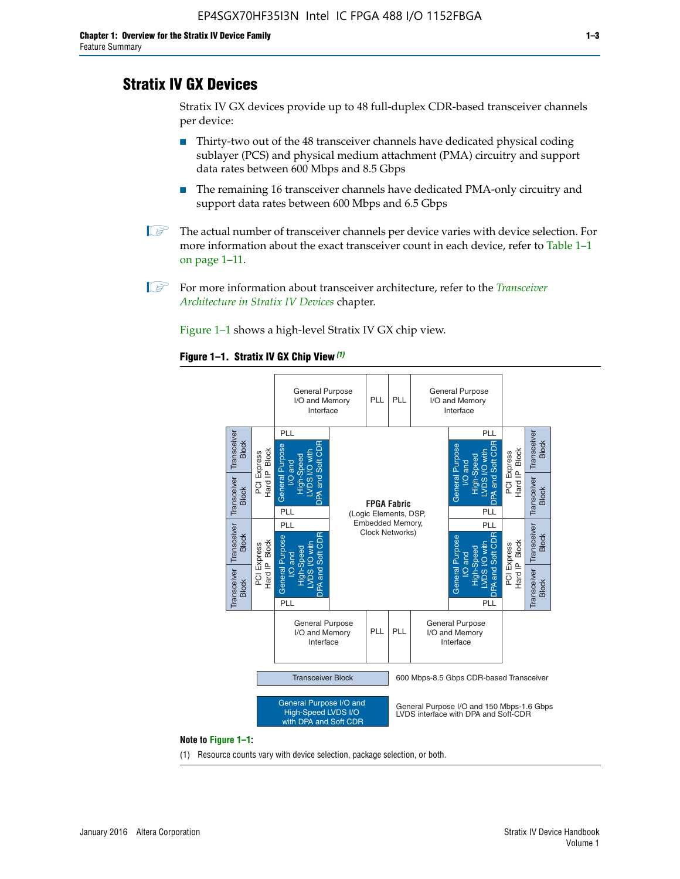# **Stratix IV GX Devices**

Stratix IV GX devices provide up to 48 full-duplex CDR-based transceiver channels per device:

- Thirty-two out of the 48 transceiver channels have dedicated physical coding sublayer (PCS) and physical medium attachment (PMA) circuitry and support data rates between 600 Mbps and 8.5 Gbps
- The remaining 16 transceiver channels have dedicated PMA-only circuitry and support data rates between 600 Mbps and 6.5 Gbps
- **1 The actual number of transceiver channels per device varies with device selection. For** more information about the exact transceiver count in each device, refer to Table 1–1 on page 1–11.
- 1 For more information about transceiver architecture, refer to the *[Transceiver](http://www.altera.com/literature/hb/stratix-iv/stx4_siv52001.pdf)  [Architecture in Stratix IV Devices](http://www.altera.com/literature/hb/stratix-iv/stx4_siv52001.pdf)* chapter.

Figure 1–1 shows a high-level Stratix IV GX chip view.

#### **Figure 1–1. Stratix IV GX Chip View** *(1)*



#### **Note to Figure 1–1:**

(1) Resource counts vary with device selection, package selection, or both.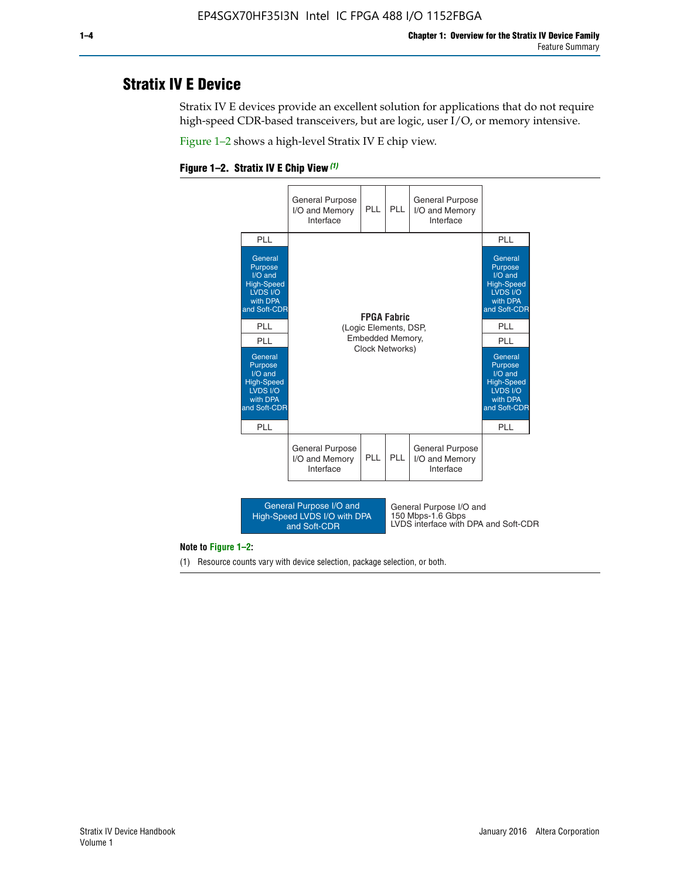# **Stratix IV E Device**

Stratix IV E devices provide an excellent solution for applications that do not require high-speed CDR-based transceivers, but are logic, user I/O, or memory intensive.

Figure 1–2 shows a high-level Stratix IV E chip view.





#### **Note to Figure 1–2:**

(1) Resource counts vary with device selection, package selection, or both.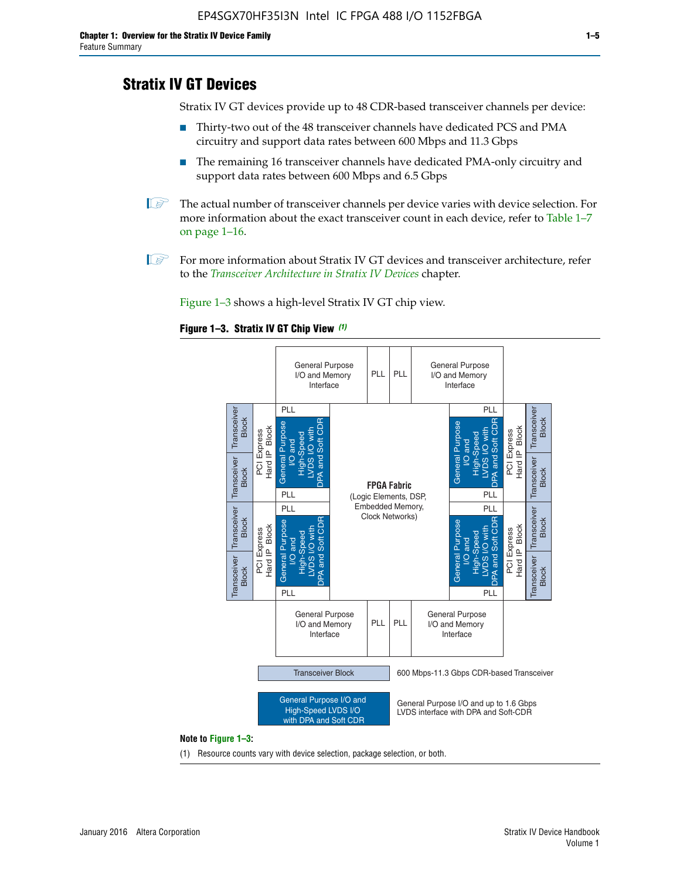# **Stratix IV GT Devices**

Stratix IV GT devices provide up to 48 CDR-based transceiver channels per device:

- Thirty-two out of the 48 transceiver channels have dedicated PCS and PMA circuitry and support data rates between 600 Mbps and 11.3 Gbps
- The remaining 16 transceiver channels have dedicated PMA-only circuitry and support data rates between 600 Mbps and 6.5 Gbps
- **1** The actual number of transceiver channels per device varies with device selection. For more information about the exact transceiver count in each device, refer to Table 1–7 on page 1–16.
- $\mathbb{I}$  For more information about Stratix IV GT devices and transceiver architecture, refer to the *[Transceiver Architecture in Stratix IV Devices](http://www.altera.com/literature/hb/stratix-iv/stx4_siv52001.pdf)* chapter.

Figure 1–3 shows a high-level Stratix IV GT chip view.





(1) Resource counts vary with device selection, package selection, or both.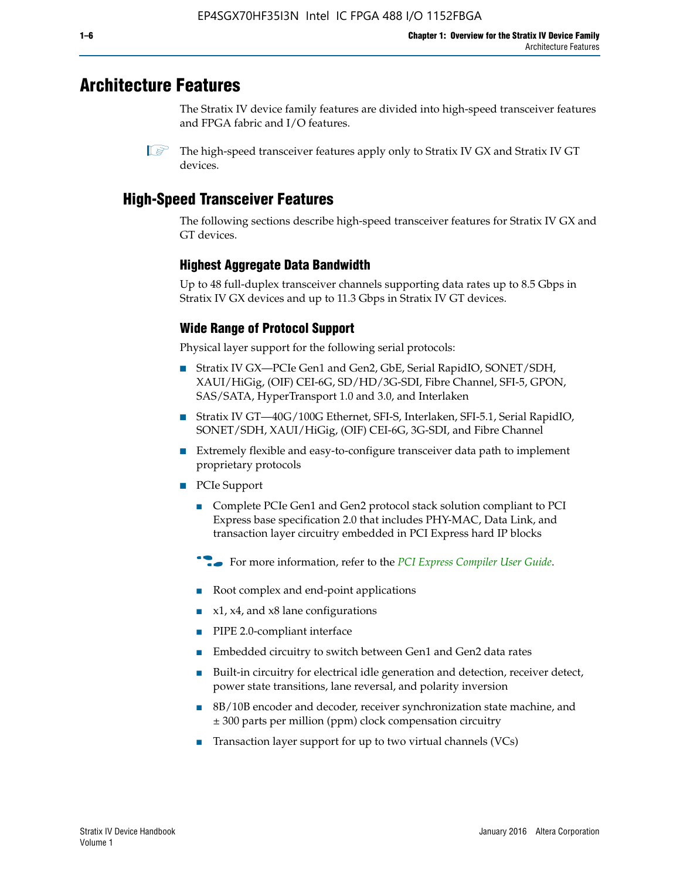# **Architecture Features**

The Stratix IV device family features are divided into high-speed transceiver features and FPGA fabric and I/O features.

 $\mathbb{I}$  The high-speed transceiver features apply only to Stratix IV GX and Stratix IV GT devices.

# **High-Speed Transceiver Features**

The following sections describe high-speed transceiver features for Stratix IV GX and GT devices.

### **Highest Aggregate Data Bandwidth**

Up to 48 full-duplex transceiver channels supporting data rates up to 8.5 Gbps in Stratix IV GX devices and up to 11.3 Gbps in Stratix IV GT devices.

# **Wide Range of Protocol Support**

Physical layer support for the following serial protocols:

- Stratix IV GX—PCIe Gen1 and Gen2, GbE, Serial RapidIO, SONET/SDH, XAUI/HiGig, (OIF) CEI-6G, SD/HD/3G-SDI, Fibre Channel, SFI-5, GPON, SAS/SATA, HyperTransport 1.0 and 3.0, and Interlaken
- Stratix IV GT—40G/100G Ethernet, SFI-S, Interlaken, SFI-5.1, Serial RapidIO, SONET/SDH, XAUI/HiGig, (OIF) CEI-6G, 3G-SDI, and Fibre Channel
- Extremely flexible and easy-to-configure transceiver data path to implement proprietary protocols
- PCIe Support
	- Complete PCIe Gen1 and Gen2 protocol stack solution compliant to PCI Express base specification 2.0 that includes PHY-MAC, Data Link, and transaction layer circuitry embedded in PCI Express hard IP blocks
	- **For more information, refer to the [PCI Express Compiler User Guide](http://www.altera.com/literature/ug/ug_pci_express.pdf).**
	- Root complex and end-point applications
	- $x1, x4,$  and  $x8$  lane configurations
	- PIPE 2.0-compliant interface
	- Embedded circuitry to switch between Gen1 and Gen2 data rates
	- Built-in circuitry for electrical idle generation and detection, receiver detect, power state transitions, lane reversal, and polarity inversion
	- 8B/10B encoder and decoder, receiver synchronization state machine, and ± 300 parts per million (ppm) clock compensation circuitry
	- Transaction layer support for up to two virtual channels (VCs)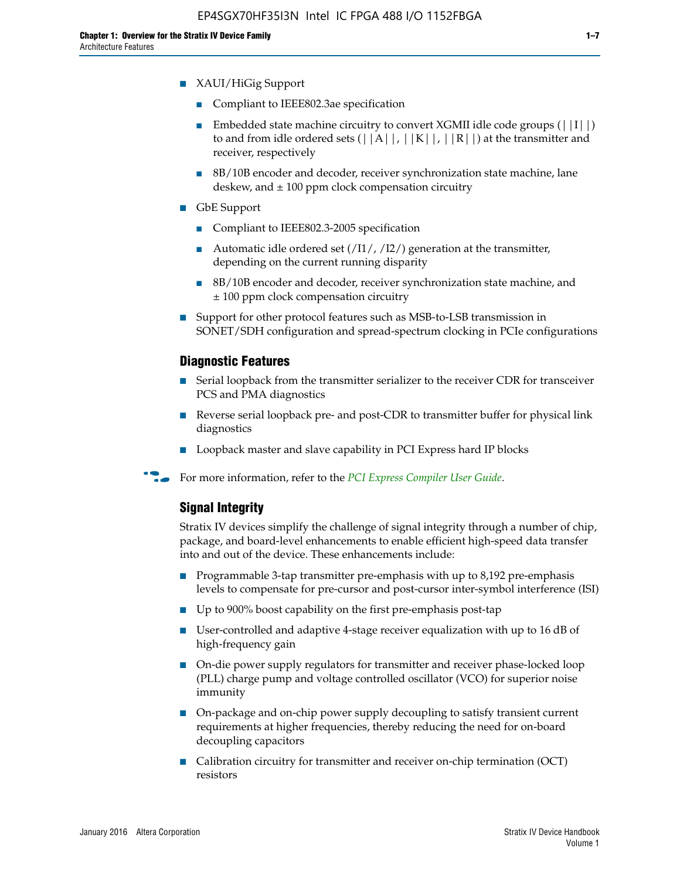- Compliant to IEEE802.3ae specification
- **■** Embedded state machine circuitry to convert XGMII idle code groups  $(|11|)$ to and from idle ordered sets  $(|A|, |K|, |R|)$  at the transmitter and receiver, respectively
- 8B/10B encoder and decoder, receiver synchronization state machine, lane deskew, and  $\pm 100$  ppm clock compensation circuitry
- GbE Support
	- Compliant to IEEE802.3-2005 specification
	- Automatic idle ordered set  $(111/112/1)$  generation at the transmitter, depending on the current running disparity
	- 8B/10B encoder and decoder, receiver synchronization state machine, and ± 100 ppm clock compensation circuitry
- Support for other protocol features such as MSB-to-LSB transmission in SONET/SDH configuration and spread-spectrum clocking in PCIe configurations

#### **Diagnostic Features**

- Serial loopback from the transmitter serializer to the receiver CDR for transceiver PCS and PMA diagnostics
- Reverse serial loopback pre- and post-CDR to transmitter buffer for physical link diagnostics
- Loopback master and slave capability in PCI Express hard IP blocks
- **For more information, refer to the** *[PCI Express Compiler User Guide](http://www.altera.com/literature/ug/ug_pci_express.pdf)***.**

### **Signal Integrity**

Stratix IV devices simplify the challenge of signal integrity through a number of chip, package, and board-level enhancements to enable efficient high-speed data transfer into and out of the device. These enhancements include:

- Programmable 3-tap transmitter pre-emphasis with up to 8,192 pre-emphasis levels to compensate for pre-cursor and post-cursor inter-symbol interference (ISI)
- Up to 900% boost capability on the first pre-emphasis post-tap
- User-controlled and adaptive 4-stage receiver equalization with up to 16 dB of high-frequency gain
- On-die power supply regulators for transmitter and receiver phase-locked loop (PLL) charge pump and voltage controlled oscillator (VCO) for superior noise immunity
- On-package and on-chip power supply decoupling to satisfy transient current requirements at higher frequencies, thereby reducing the need for on-board decoupling capacitors
- Calibration circuitry for transmitter and receiver on-chip termination (OCT) resistors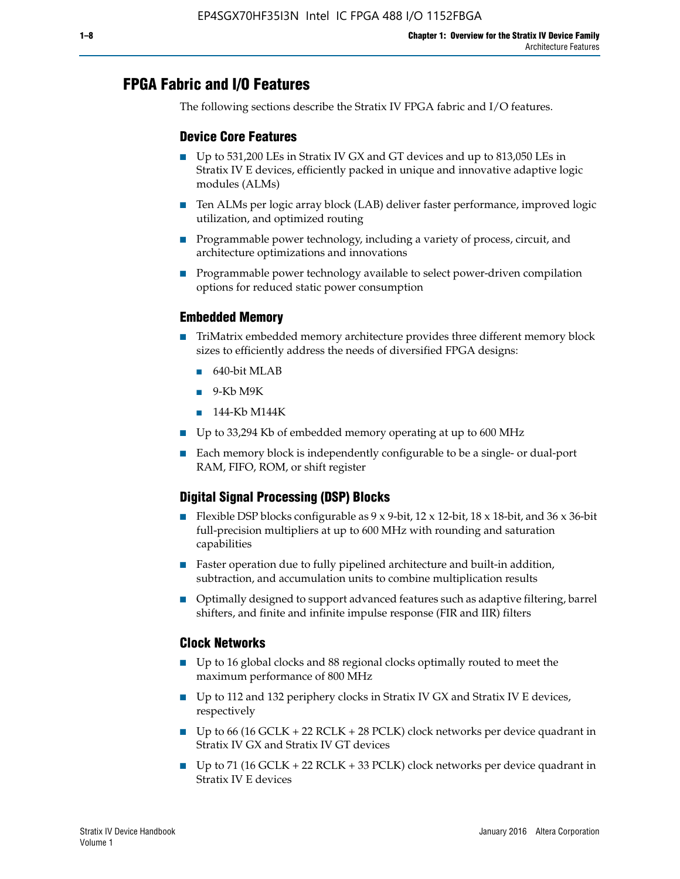# **FPGA Fabric and I/O Features**

The following sections describe the Stratix IV FPGA fabric and I/O features.

### **Device Core Features**

- Up to 531,200 LEs in Stratix IV GX and GT devices and up to 813,050 LEs in Stratix IV E devices, efficiently packed in unique and innovative adaptive logic modules (ALMs)
- Ten ALMs per logic array block (LAB) deliver faster performance, improved logic utilization, and optimized routing
- Programmable power technology, including a variety of process, circuit, and architecture optimizations and innovations
- Programmable power technology available to select power-driven compilation options for reduced static power consumption

#### **Embedded Memory**

- TriMatrix embedded memory architecture provides three different memory block sizes to efficiently address the needs of diversified FPGA designs:
	- 640-bit MLAB
	- 9-Kb M9K
	- 144-Kb M144K
- Up to 33,294 Kb of embedded memory operating at up to 600 MHz
- Each memory block is independently configurable to be a single- or dual-port RAM, FIFO, ROM, or shift register

### **Digital Signal Processing (DSP) Blocks**

- Flexible DSP blocks configurable as  $9 \times 9$ -bit,  $12 \times 12$ -bit,  $18 \times 18$ -bit, and  $36 \times 36$ -bit full-precision multipliers at up to 600 MHz with rounding and saturation capabilities
- Faster operation due to fully pipelined architecture and built-in addition, subtraction, and accumulation units to combine multiplication results
- Optimally designed to support advanced features such as adaptive filtering, barrel shifters, and finite and infinite impulse response (FIR and IIR) filters

#### **Clock Networks**

- Up to 16 global clocks and 88 regional clocks optimally routed to meet the maximum performance of 800 MHz
- Up to 112 and 132 periphery clocks in Stratix IV GX and Stratix IV E devices, respectively
- Up to 66 (16 GCLK + 22 RCLK + 28 PCLK) clock networks per device quadrant in Stratix IV GX and Stratix IV GT devices
- Up to 71 (16 GCLK + 22 RCLK + 33 PCLK) clock networks per device quadrant in Stratix IV E devices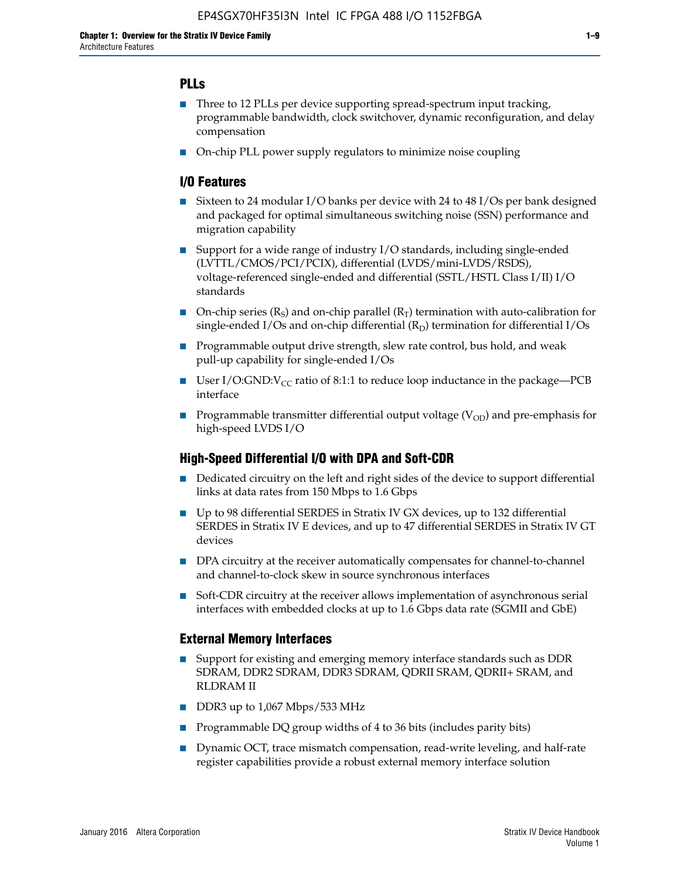### **PLLs**

- Three to 12 PLLs per device supporting spread-spectrum input tracking, programmable bandwidth, clock switchover, dynamic reconfiguration, and delay compensation
- On-chip PLL power supply regulators to minimize noise coupling

#### **I/O Features**

- Sixteen to 24 modular I/O banks per device with 24 to 48 I/Os per bank designed and packaged for optimal simultaneous switching noise (SSN) performance and migration capability
- Support for a wide range of industry I/O standards, including single-ended (LVTTL/CMOS/PCI/PCIX), differential (LVDS/mini-LVDS/RSDS), voltage-referenced single-ended and differential (SSTL/HSTL Class I/II) I/O standards
- **O**n-chip series  $(R_S)$  and on-chip parallel  $(R_T)$  termination with auto-calibration for single-ended I/Os and on-chip differential  $(R_D)$  termination for differential I/Os
- Programmable output drive strength, slew rate control, bus hold, and weak pull-up capability for single-ended I/Os
- User I/O:GND: $V_{CC}$  ratio of 8:1:1 to reduce loop inductance in the package—PCB interface
- **■** Programmable transmitter differential output voltage ( $V_{OD}$ ) and pre-emphasis for high-speed LVDS I/O

#### **High-Speed Differential I/O with DPA and Soft-CDR**

- Dedicated circuitry on the left and right sides of the device to support differential links at data rates from 150 Mbps to 1.6 Gbps
- Up to 98 differential SERDES in Stratix IV GX devices, up to 132 differential SERDES in Stratix IV E devices, and up to 47 differential SERDES in Stratix IV GT devices
- DPA circuitry at the receiver automatically compensates for channel-to-channel and channel-to-clock skew in source synchronous interfaces
- Soft-CDR circuitry at the receiver allows implementation of asynchronous serial interfaces with embedded clocks at up to 1.6 Gbps data rate (SGMII and GbE)

#### **External Memory Interfaces**

- Support for existing and emerging memory interface standards such as DDR SDRAM, DDR2 SDRAM, DDR3 SDRAM, QDRII SRAM, QDRII+ SRAM, and RLDRAM II
- DDR3 up to 1,067 Mbps/533 MHz
- Programmable DQ group widths of 4 to 36 bits (includes parity bits)
- Dynamic OCT, trace mismatch compensation, read-write leveling, and half-rate register capabilities provide a robust external memory interface solution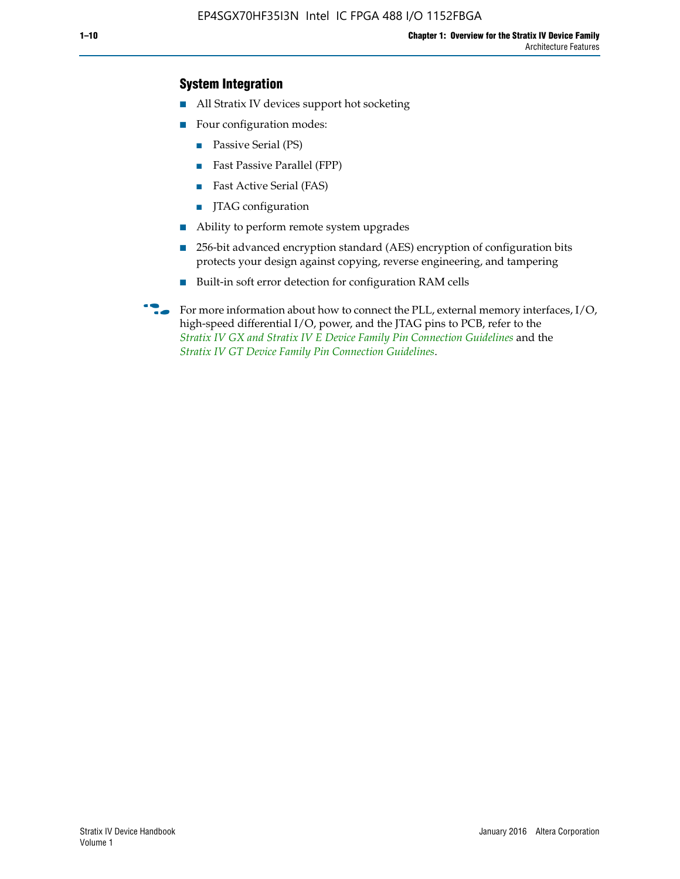### **System Integration**

- All Stratix IV devices support hot socketing
- Four configuration modes:
	- Passive Serial (PS)
	- Fast Passive Parallel (FPP)
	- Fast Active Serial (FAS)
	- JTAG configuration
- Ability to perform remote system upgrades
- 256-bit advanced encryption standard (AES) encryption of configuration bits protects your design against copying, reverse engineering, and tampering
- Built-in soft error detection for configuration RAM cells
- For more information about how to connect the PLL, external memory interfaces,  $I/O$ , high-speed differential I/O, power, and the JTAG pins to PCB, refer to the *[Stratix IV GX and Stratix IV E Device Family Pin Connection Guidelines](http://www.altera.com/literature/dp/stratix4/PCG-01005.pdf)* and the *[Stratix IV GT Device Family Pin Connection Guidelines](http://www.altera.com/literature/dp/stratix4/PCG-01006.pdf)*.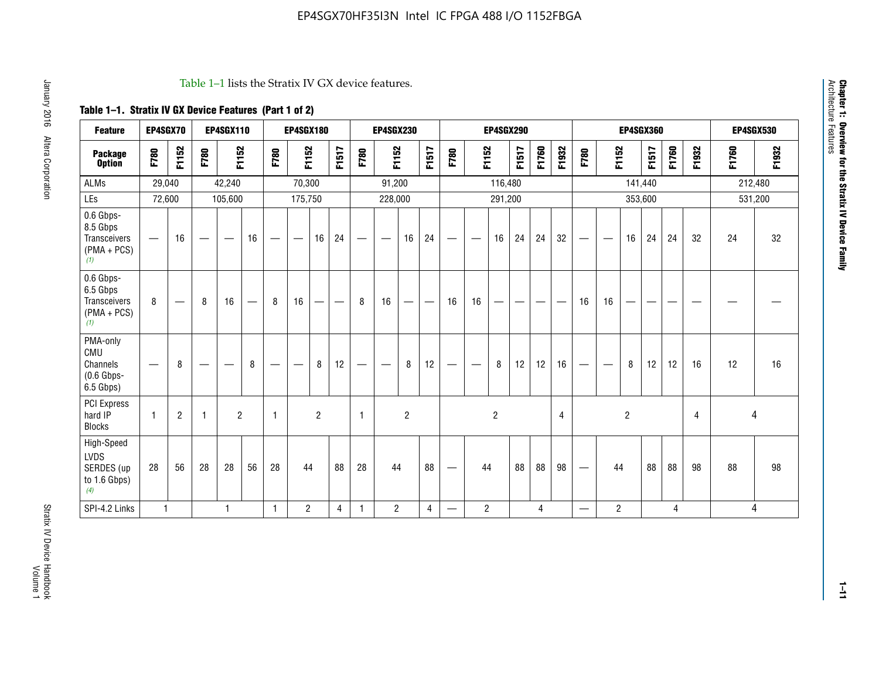#### Table 1–1 lists the Stratix IV GX device features.

### **Table 1–1. Stratix IV GX Device Features (Part 1 of 2)**

| <b>Feature</b>                                                       | EP4SGX70                        |                 |                                 | <b>EP4SGX110</b>  |    |                                | <b>EP4SGX180</b>                |                |       |              | <b>EP4SGX230</b>         |                |                                   |                                 |                | <b>EP4SGX290</b>         |                                |       |       |                          |                          |                | <b>EP4SGX360</b> |       |       |       | <b>EP4SGX530</b> |
|----------------------------------------------------------------------|---------------------------------|-----------------|---------------------------------|-------------------|----|--------------------------------|---------------------------------|----------------|-------|--------------|--------------------------|----------------|-----------------------------------|---------------------------------|----------------|--------------------------|--------------------------------|-------|-------|--------------------------|--------------------------|----------------|------------------|-------|-------|-------|------------------|
| <b>Package</b><br><b>Option</b>                                      | F780                            | F1152           | F780                            | F1152             |    | F780                           | F1152                           |                | F1517 | F780         | F1152                    |                | F1517                             | F780                            | F1152          |                          | F1517                          | F1760 | F1932 | F780                     | F1152                    |                | F1517            | F1760 | F1932 | F1760 | F1932            |
| ALMs                                                                 | 29,040                          |                 |                                 | 42,240            |    |                                | 70,300                          |                |       |              | 91,200                   |                |                                   |                                 |                | 116,480                  |                                |       |       |                          |                          |                | 141,440          |       |       |       | 212,480          |
| LEs                                                                  | 72,600                          |                 |                                 | 105,600           |    |                                | 175,750                         |                |       |              | 228,000                  |                |                                   |                                 |                | 291,200                  |                                |       |       |                          |                          |                | 353,600          |       |       |       | 531,200          |
| 0.6 Gbps-<br>8.5 Gbps<br><b>Transceivers</b><br>$(PMA + PCs)$<br>(1) | $\overline{\phantom{0}}$        | 16              | $\hspace{0.05cm}$               | $\hspace{0.05cm}$ | 16 | $\qquad \qquad \longleftarrow$ | $\hspace{0.1mm}-\hspace{0.1mm}$ | 16             | 24    |              |                          | 16             | 24                                | $\hspace{0.1mm}-\hspace{0.1mm}$ |                | 16                       | 24                             | 24    | 32    | $\overline{\phantom{0}}$ | $\overline{\phantom{a}}$ | 16             | 24               | 24    | 32    | 24    | 32               |
| 0.6 Gbps-<br>6.5 Gbps<br><b>Transceivers</b><br>$(PMA + PCs)$<br>(1) | 8                               | $\qquad \qquad$ | 8                               | 16                |    | 8                              | 16                              | —              | —     | 8            | 16                       | —              | $\overbrace{\phantom{123221111}}$ | 16                              | 16             | $\overline{\phantom{0}}$ | $\qquad \qquad \longleftarrow$ |       |       | 16                       | 16                       | --             |                  |       |       |       |                  |
| PMA-only<br>CMU<br>Channels<br>$(0.6$ Gbps-<br>6.5 Gbps)             | $\hspace{0.1mm}-\hspace{0.1mm}$ | 8               | $\hspace{0.1mm}-\hspace{0.1mm}$ |                   | 8  | $\qquad \qquad \longleftarrow$ | $\qquad \qquad \longleftarrow$  | 8              | 12    |              | $\overline{\phantom{m}}$ | 8              | 12                                | $\qquad \qquad \longleftarrow$  | -              | 8                        | 12                             | 12    | 16    | $\overline{\phantom{0}}$ | $\hspace{0.05cm}$        | 8              | 12               | 12    | 16    | 12    | 16               |
| <b>PCI Express</b><br>hard IP<br><b>Blocks</b>                       | $\mathbf{1}$                    | $\overline{2}$  | -1                              | $\overline{2}$    |    | 1                              |                                 | $\overline{2}$ |       | $\mathbf{1}$ |                          | $\overline{c}$ |                                   |                                 |                | $\overline{2}$           |                                |       | 4     |                          |                          | $\overline{2}$ |                  |       | 4     |       | 4                |
| High-Speed<br>LVDS<br>SERDES (up<br>to 1.6 Gbps)<br>(4)              | 28                              | 56              | 28                              | 28                | 56 | 28                             | 44                              |                | 88    | 28           | 44                       |                | 88                                | $\qquad \qquad \longleftarrow$  | 44             |                          | 88                             | 88    | 98    |                          | 44                       |                | 88               | 88    | 98    | 88    | 98               |
| SPI-4.2 Links                                                        | $\mathbf{1}$                    |                 |                                 | 1                 |    | $\mathbf{1}$                   | $\overline{c}$                  |                | 4     | $\mathbf{1}$ | $\overline{c}$           |                | $\overline{4}$                    | —                               | $\overline{2}$ |                          |                                | 4     |       | $\overline{\phantom{0}}$ | $\overline{2}$           |                |                  | 4     |       |       | 4                |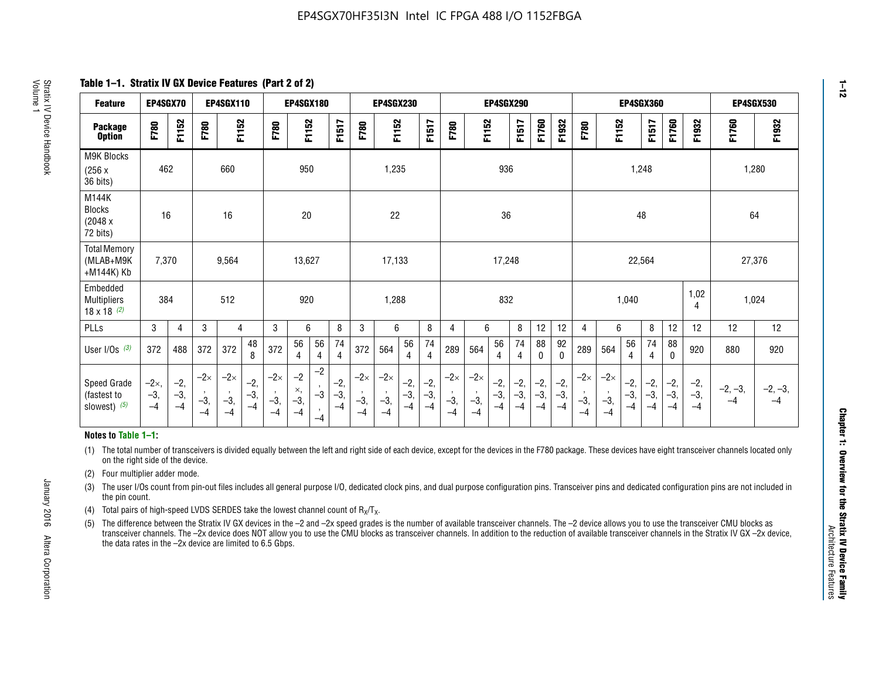**Table 1–1. Stratix IV GX Device Features (Part 2 of 2)**

| <b>Feature</b>                                       | EP4SGX70                |                        |                             | <b>EP4SGX110</b>            |                      |                             | <b>EP4SGX180</b>          |                                              |                        | <b>EP4SGX230</b><br><b>EP4SGX360</b><br>EP4SGX290 |                             |                        | <b>EP4SGX530</b>     |                             |                             |                        |                      |                        |                        |                             |                             |                        |                      |                        |                        |                   |                   |
|------------------------------------------------------|-------------------------|------------------------|-----------------------------|-----------------------------|----------------------|-----------------------------|---------------------------|----------------------------------------------|------------------------|---------------------------------------------------|-----------------------------|------------------------|----------------------|-----------------------------|-----------------------------|------------------------|----------------------|------------------------|------------------------|-----------------------------|-----------------------------|------------------------|----------------------|------------------------|------------------------|-------------------|-------------------|
| <b>Package</b><br><b>Option</b>                      | F780                    | F1152                  | F780                        | F1152                       |                      | F780                        | F1152                     |                                              | F1517                  | F780                                              | F1152                       |                        | F1517                | F780                        | F1152                       |                        | F1517                | F1760                  | F1932                  | F780                        | F1152                       |                        | F1517                | F1760                  | F1932                  | F1760             | F1932             |
| M9K Blocks<br>(256x)<br>36 bits)                     | 462                     |                        |                             | 660                         |                      |                             | 950                       |                                              |                        |                                                   | 1,235                       |                        |                      |                             |                             | 936                    |                      |                        |                        |                             |                             | 1,248                  |                      |                        |                        | 1,280             |                   |
| M144K<br>Blocks<br>(2048 x<br>72 bits)               | 16                      |                        |                             | 16                          |                      |                             | 20                        |                                              |                        |                                                   | 22                          |                        |                      |                             |                             | 36                     |                      |                        |                        |                             |                             | 48                     |                      |                        |                        | 64                |                   |
| <b>Total Memory</b><br>(MLAB+M9K<br>+M144K) Kb       | 7,370                   |                        |                             | 9,564                       |                      |                             | 13,627                    |                                              |                        |                                                   | 17,133                      |                        |                      |                             |                             | 17,248                 |                      |                        |                        |                             |                             | 22,564                 |                      |                        |                        | 27,376            |                   |
| Embedded<br><b>Multipliers</b><br>$18 \times 18$ (2) | 384                     |                        |                             | 512                         |                      |                             | 920                       |                                              |                        |                                                   | 1,288                       |                        |                      |                             |                             | 832                    |                      |                        |                        |                             |                             | 1,040                  |                      |                        | 1,02<br>4              | 1,024             |                   |
| PLLs                                                 | 3                       | 4                      | 3                           | 4                           |                      | 3                           | 6                         |                                              | 8                      | 3                                                 | 6                           |                        | 8                    | 4                           | 6                           |                        | 8                    | 12                     | 12                     | 4                           | 6                           |                        | 8                    | 12                     | 12                     | 12                | 12                |
| User I/Os $(3)$                                      | 372                     | 488                    | 372                         | 372                         | 48<br>8              | 372                         | 56<br>4                   | 56<br>4                                      | 74<br>$\overline{4}$   | 372                                               | 564                         | 56<br>4                | 74<br>$\overline{4}$ | 289                         | 564                         | 56<br>4                | 74<br>4              | 88<br>0                | 92<br>$\mathbf 0$      | 289                         | 564                         | 56<br>4                | 74<br>4              | 88<br>0                | 920                    | 880               | 920               |
| Speed Grade<br>(fastest to<br>slowest) (5)           | $-2x,$<br>$-3,$<br>$-4$ | $-2,$<br>$-3,$<br>$-4$ | $-2\times$<br>$-3,$<br>$-4$ | $-2\times$<br>$-3,$<br>$-4$ | $-2,$<br>-3,<br>$-4$ | $-2\times$<br>$-3,$<br>$-4$ | $-2$<br>×,<br>$-3,$<br>-4 | $-2$<br>$\,$<br>$-3$<br>$\mathbf{r}$<br>$-4$ | $-2,$<br>$-3,$<br>$-4$ | $-2\times$<br>$-3,$<br>$-4$                       | $-2\times$<br>$-3,$<br>$-4$ | $-2,$<br>$-3,$<br>$-4$ | $-2,$<br>-3,<br>$-4$ | $-2\times$<br>$-3,$<br>$-4$ | $-2\times$<br>$-3,$<br>$-4$ | $-2,$<br>$-3,$<br>$-4$ | $-2,$<br>-3,<br>$-4$ | $-2,$<br>$-3,$<br>$-4$ | $-2,$<br>$-3,$<br>$-4$ | $-2\times$<br>$-3,$<br>$-4$ | $-2\times$<br>$-3,$<br>$-4$ | $-2,$<br>$-3,$<br>$-4$ | $-2,$<br>-3,<br>$-4$ | $-2,$<br>$-3,$<br>$-4$ | $-2,$<br>$-3,$<br>$-4$ | $-2, -3,$<br>$-4$ | $-2, -3,$<br>$-4$ |

#### **Notes to Table 1–1:**

(1) The total number of transceivers is divided equally between the left and right side of each device, except for the devices in the F780 package. These devices have eight transceiver channels located only on the right side of the device.

(2) Four multiplier adder mode.

(3) The user I/Os count from pin-out files includes all general purpose I/O, dedicated clock pins, and dual purpose configuration pins. Transceiver pins and dedicated configuration pins are not included in the pin count.

- (4) Total pairs of high-speed LVDS SERDES take the lowest channel count of  $R_X/T_X$ .
- (5) The difference between the Stratix IV GX devices in the –2 and –2x speed grades is the number of available transceiver channels. The –2 device allows you to use the transceiver CMU blocks as transceiver channels. The –2x device does NOT allow you to use the CMU blocks as transceiver channels. In addition to the reduction of available transceiver channels in the Stratix IV GX –2x device, the data rates in the –2x device are limited to 6.5 Gbps.

January 2016 Altera Corporation

Altera Corporation

January 2016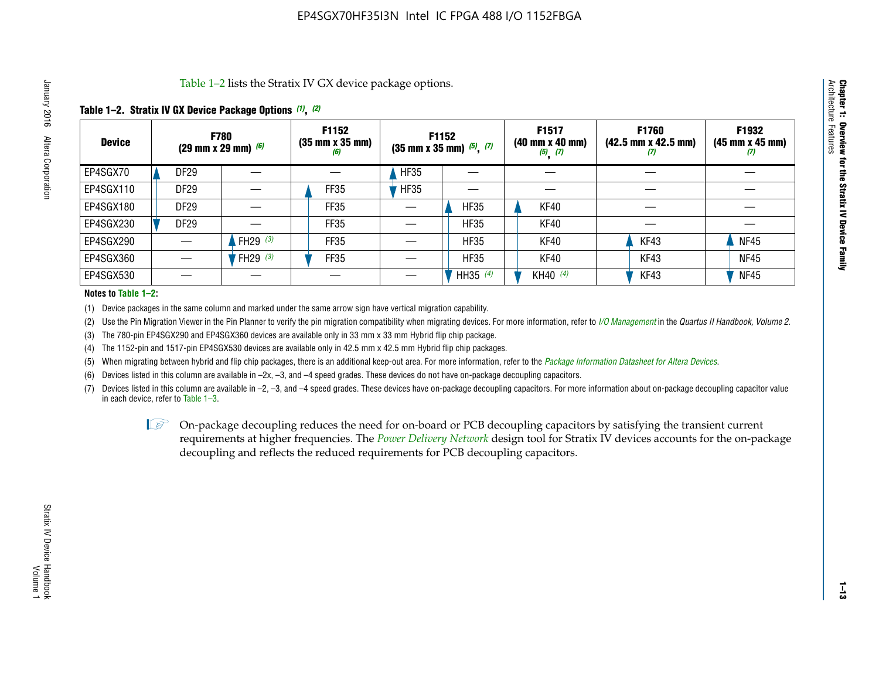Table 1–2 lists the Stratix IV GX device package options.

#### **Table 1–2. Stratix IV GX Device Package Options** *(1)***,** *(2)*

| <b>Device</b> | (29 mm x 29 mm) $(6)$ | <b>F780</b>          | F1152<br>$(35 \, \text{mm} \times 35 \, \text{mm})$<br>(6) |             | <b>F1152</b><br>$(35$ mm x 35 mm) $(5)$ , $(7)$ | F1517<br>(40 mm x 40 mm)<br>$(5)$ $(7)$ | <b>F1760</b><br>$(42.5 \text{ mm} \times 42.5 \text{ mm})$<br>W | F1932<br>$(45 \, \text{mm} \times 45 \, \text{mm})$<br>$\boldsymbol{v}$ |
|---------------|-----------------------|----------------------|------------------------------------------------------------|-------------|-------------------------------------------------|-----------------------------------------|-----------------------------------------------------------------|-------------------------------------------------------------------------|
| EP4SGX70      | DF <sub>29</sub>      |                      |                                                            | <b>HF35</b> |                                                 |                                         |                                                                 |                                                                         |
| EP4SGX110     | <b>DF29</b>           |                      | FF35                                                       | <b>HF35</b> |                                                 |                                         |                                                                 |                                                                         |
| EP4SGX180     | DF29                  |                      | FF35                                                       |             | <b>HF35</b>                                     | KF40                                    |                                                                 |                                                                         |
| EP4SGX230     | <b>DF29</b>           |                      | FF35                                                       |             | <b>HF35</b>                                     | KF40                                    |                                                                 |                                                                         |
| EP4SGX290     |                       | FH29 $(3)$           | FF35                                                       |             | <b>HF35</b>                                     | KF40                                    | KF43                                                            | <b>NF45</b>                                                             |
| EP4SGX360     |                       | 'FH29 <sup>(3)</sup> | FF35                                                       |             | <b>HF35</b>                                     | KF40                                    | KF43                                                            | <b>NF45</b>                                                             |
| EP4SGX530     |                       |                      |                                                            |             | HH35 $(4)$                                      | KH40 (4)                                | KF43                                                            | <b>NF45</b>                                                             |

#### **Notes to Table 1–2:**

(1) Device packages in the same column and marked under the same arrow sign have vertical migration capability.

(2) Use the Pin Migration Viewer in the Pin Planner to verify the pin migration compatibility when migrating devices. For more information, refer to *[I/O Management](http://www.altera.com/literature/hb/qts/qts_qii52013.pdf)* in the *Quartus II Handbook, Volume 2*.

(3) The 780-pin EP4SGX290 and EP4SGX360 devices are available only in 33 mm x 33 mm Hybrid flip chip package.

(4) The 1152-pin and 1517-pin EP4SGX530 devices are available only in 42.5 mm x 42.5 mm Hybrid flip chip packages.

(5) When migrating between hybrid and flip chip packages, there is an additional keep-out area. For more information, refer to the *[Package Information Datasheet for Altera Devices](http://www.altera.com/literature/ds/dspkg.pdf)*.

(6) Devices listed in this column are available in –2x, –3, and –4 speed grades. These devices do not have on-package decoupling capacitors.

(7) Devices listed in this column are available in –2, –3, and –4 speed grades. These devices have on-package decoupling capacitors. For more information about on-package decoupling capacitor value in each device, refer to Table 1–3.

 $\mathbb{L}$ s On-package decoupling reduces the need for on-board or PCB decoupling capacitors by satisfying the transient current requirements at higher frequencies. The *[Power Delivery Network](http://www.altera.com/literature/ug/pdn_tool_stxiv.zip)* design tool for Stratix IV devices accounts for the on-package decoupling and reflects the reduced requirements for PCB decoupling capacitors.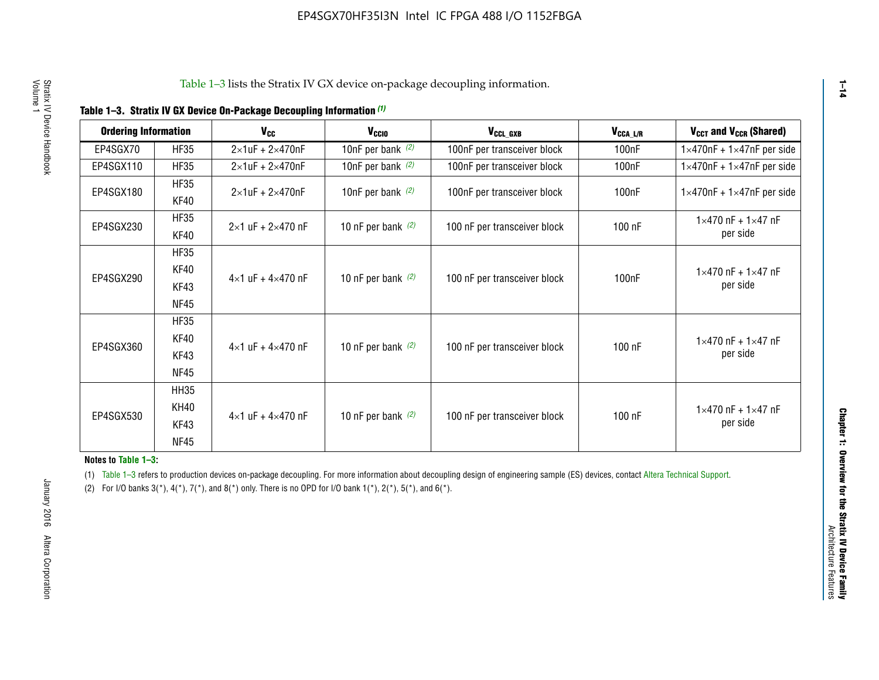| <b>Ordering Information</b> |                            | <b>V<sub>cc</sub></b>               | V <sub>ccio</sub>    | V <sub>CCL GXB</sub>         | V <sub>CCA_L/R</sub> | V <sub>CCT</sub> and V <sub>CCR</sub> (Shared)   |
|-----------------------------|----------------------------|-------------------------------------|----------------------|------------------------------|----------------------|--------------------------------------------------|
| EP4SGX70                    | <b>HF35</b>                | $2\times1$ uF + $2\times470$ nF     | 10nF per bank $(2)$  | 100nF per transceiver block  | 100 <sub>n</sub> F   | $1 \times 470$ nF + $1 \times 47$ nF per side    |
| EP4SGX110                   | <b>HF35</b>                | $2\times1$ uF + $2\times470$ nF     | 10nF per bank $(2)$  | 100nF per transceiver block  | 100 <sub>n</sub> F   | $1\times470$ nF + $1\times47$ nF per side        |
| EP4SGX180                   | <b>HF35</b><br>KF40        | $2\times1$ uF + $2\times470$ nF     | 10nF per bank $(2)$  | 100nF per transceiver block  | 100 <sub>n</sub> F   | $1 \times 470$ nF + $1 \times 47$ nF per side    |
| EP4SGX230                   | <b>HF35</b><br>KF40        | $2 \times 1$ uF + $2 \times 470$ nF | 10 nF per bank $(2)$ | 100 nF per transceiver block | 100 nF               | $1 \times 470$ nF + $1 \times 47$ nF<br>per side |
| EP4SGX290                   | <b>HF35</b><br><b>KF40</b> |                                     |                      |                              |                      | $1 \times 470$ nF + $1 \times 47$ nF             |
|                             | KF43<br><b>NF45</b>        | $4 \times 1$ uF + $4 \times 470$ nF | 10 nF per bank $(2)$ | 100 nF per transceiver block | 100nF                | per side                                         |
|                             | <b>HF35</b><br>KF40        |                                     |                      |                              |                      | $1 \times 470$ nF + $1 \times 47$ nF             |
| EP4SGX360                   | KF43<br><b>NF45</b>        | $4 \times 1$ uF + $4 \times 470$ nF | 10 nF per bank $(2)$ | 100 nF per transceiver block | 100 nF               | per side                                         |
|                             | <b>HH35</b>                |                                     |                      |                              |                      |                                                  |
| EP4SGX530                   | <b>KH40</b><br>KF43        | $4 \times 1$ uF + $4 \times 470$ nF | 10 nF per bank $(2)$ | 100 nF per transceiver block | 100 nF               | $1 \times 470$ nF + $1 \times 47$ nF<br>per side |
|                             | <b>NF45</b>                |                                     |                      |                              |                      |                                                  |

**Notes to Table 1–3:**

(1) Table 1-3 refers to production devices on-package decoupling. For more information about decoupling design of engineering sample (ES) devices, contact [Altera Technical Support](http://mysupport.altera.com/eservice/login.asp).

(2) For I/O banks  $3(*)$ ,  $4(*)$ ,  $7(*)$ , and  $8(*)$  only. There is no OPD for I/O bank  $1(*)$ ,  $2(*)$ ,  $5(*)$ , and  $6(*)$ .

**1–14**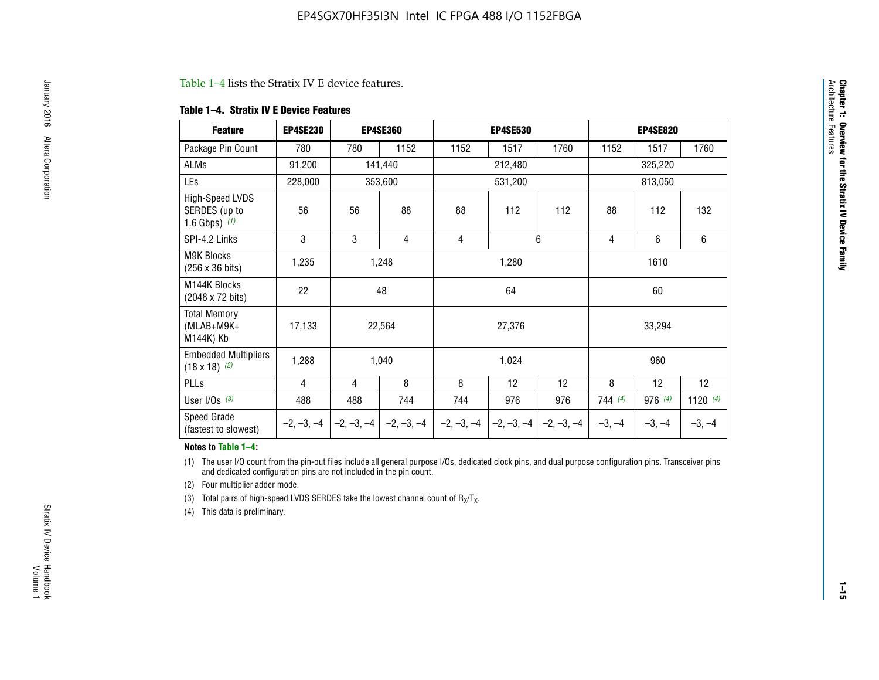#### Table 1–4 lists the Stratix IV E device features.

#### **Table 1–4. Stratix IV E Device Features**

| <b>Feature</b>                                      | <b>EP4SE230</b> |     | <b>EP4SE360</b>                          |              | <b>EP4SE530</b> |              |          | <b>EP4SE820</b> |            |  |
|-----------------------------------------------------|-----------------|-----|------------------------------------------|--------------|-----------------|--------------|----------|-----------------|------------|--|
| Package Pin Count                                   | 780             | 780 | 1152                                     | 1152         | 1517            | 1760         | 1152     | 1517            | 1760       |  |
| ALMs                                                | 91,200          |     | 141,440                                  |              | 212,480         |              |          | 325,220         |            |  |
| LEs                                                 | 228,000         |     | 353,600                                  |              | 531,200         |              |          | 813,050         |            |  |
| High-Speed LVDS<br>SERDES (up to<br>1.6 Gbps) $(1)$ | 56              | 56  | 88                                       | 88           | 112             | 112          | 88       | 112             | 132        |  |
| SPI-4.2 Links                                       | 3               | 3   | 4                                        | 4            |                 | 6            | 4        | 6<br>6          |            |  |
| <b>M9K Blocks</b><br>(256 x 36 bits)                | 1,235           |     | 1,248                                    |              | 1,280           |              | 1610     |                 |            |  |
| M144K Blocks<br>(2048 x 72 bits)                    | 22              |     | 48                                       |              | 64              |              | 60       |                 |            |  |
| <b>Total Memory</b><br>$(MLAB+M9K+$<br>M144K) Kb    | 17,133          |     | 22,564                                   |              | 27,376          |              |          | 33,294          |            |  |
| <b>Embedded Multipliers</b><br>$(18 \times 18)$ (2) | 1,288           |     | 1,040                                    |              | 1,024           |              |          | 960             |            |  |
| PLLs                                                | 4               | 4   | 8                                        | 8            | 12              | 12           | 8        | 12              | 12         |  |
| User I/Os $(3)$                                     | 488             | 488 | 744                                      | 744          | 976             | 976          | 744(4)   | 976 (4)         | 1120 $(4)$ |  |
| Speed Grade<br>(fastest to slowest)                 |                 |     | $-2, -3, -4$ $ -2, -3, -4$ $ -2, -3, -4$ | $-2, -3, -4$ | $-2, -3, -4$    | $-2, -3, -4$ | $-3, -4$ | $-3, -4$        | $-3, -4$   |  |

#### **Notes to Table 1–4:**

(1) The user I/O count from the pin-out files include all general purpose I/Os, dedicated clock pins, and dual purpose configuration pins. Transceiver pins and dedicated configuration pins are not included in the pin count.

(2) Four multiplier adder mode.

(3) Total pairs of high-speed LVDS SERDES take the lowest channel count of  $R_X/T_X$ .

(4) This data is preliminary.

**Chapter 1: Overview for the Stratix IV Device Family**

**Chapter 1: Overview for the Stratix IV Device Family**<br>Architecture Faatures

Architecture Features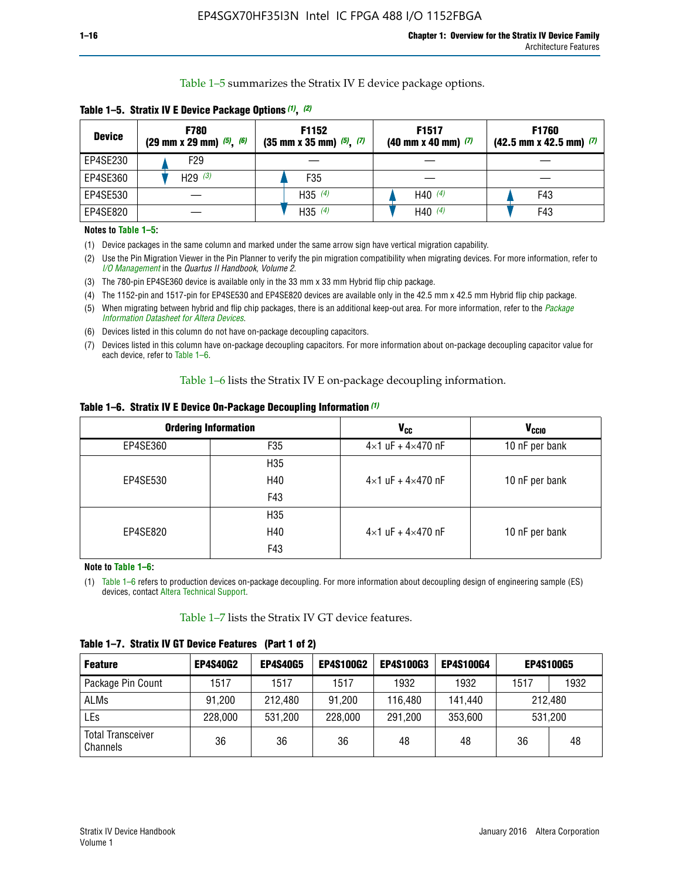Table 1–5 summarizes the Stratix IV E device package options.

| <b>Device</b> | <b>F780</b><br>$(29 \text{ mm} \times 29 \text{ mm})$ $(5)$ , $(6)$ | F1152<br>$(35 \text{ mm} \times 35 \text{ mm})$ $(5)$ $(7)$ | F <sub>1517</sub><br>$(40 \text{ mm} \times 40 \text{ mm})$ (7) | <b>F1760</b><br>$(42.5$ mm x 42.5 mm) $(7)$ |  |  |
|---------------|---------------------------------------------------------------------|-------------------------------------------------------------|-----------------------------------------------------------------|---------------------------------------------|--|--|
| EP4SE230      | F <sub>29</sub>                                                     |                                                             |                                                                 |                                             |  |  |
| EP4SE360      | H29 $(3)$                                                           | F35                                                         |                                                                 |                                             |  |  |
| EP4SE530      |                                                                     | H35 $(4)$                                                   | H40 $(4)$                                                       | F43                                         |  |  |
| EP4SE820      |                                                                     | H35 $(4)$                                                   | H40 $(4)$                                                       | F43                                         |  |  |

**Table 1–5. Stratix IV E Device Package Options** *(1)***,** *(2)*

#### **Notes to Table 1–5:**

(1) Device packages in the same column and marked under the same arrow sign have vertical migration capability.

(2) Use the Pin Migration Viewer in the Pin Planner to verify the pin migration compatibility when migrating devices. For more information, refer to *[I/O Management](http://www.altera.com/literature/hb/qts/qts_qii52013.pdf)* in the *Quartus II Handbook, Volume 2*.

(3) The 780-pin EP4SE360 device is available only in the 33 mm x 33 mm Hybrid flip chip package.

(4) The 1152-pin and 1517-pin for EP4SE530 and EP4SE820 devices are available only in the 42.5 mm x 42.5 mm Hybrid flip chip package.

(5) When migrating between hybrid and flip chip packages, there is an additional keep-out area. For more information, refer to the *[Package](http://www.altera.com/literature/ds/dspkg.pdf)  [Information Datasheet for Altera Devices](http://www.altera.com/literature/ds/dspkg.pdf)*.

(6) Devices listed in this column do not have on-package decoupling capacitors.

(7) Devices listed in this column have on-package decoupling capacitors. For more information about on-package decoupling capacitor value for each device, refer to Table 1–6.

Table 1–6 lists the Stratix IV E on-package decoupling information.

| Table 1–6. Stratix IV E Device On-Package Decoupling Information (1) |  |  |  |  |  |
|----------------------------------------------------------------------|--|--|--|--|--|
|----------------------------------------------------------------------|--|--|--|--|--|

|          | <b>Ordering Information</b> | V <sub>cc</sub>                     | <b>V<sub>CCIO</sub></b> |
|----------|-----------------------------|-------------------------------------|-------------------------|
| EP4SE360 | F <sub>35</sub>             | $4 \times 1$ uF + $4 \times 470$ nF | 10 nF per bank          |
|          | H35                         |                                     |                         |
| EP4SE530 | H40                         | $4\times1$ uF + $4\times470$ nF     | 10 nF per bank          |
|          | F43                         |                                     |                         |
|          | H35                         |                                     |                         |
| EP4SE820 | H40                         | $4\times1$ uF + $4\times470$ nF     | 10 nF per bank          |
|          | F43                         |                                     |                         |

**Note to Table 1–6:**

(1) Table 1–6 refers to production devices on-package decoupling. For more information about decoupling design of engineering sample (ES) devices, contact [Altera Technical Support](http://mysupport.altera.com/eservice/login.asp).

Table 1–7 lists the Stratix IV GT device features.

| <b>Feature</b>                       | <b>EP4S40G2</b> | <b>EP4S40G5</b> | <b>EP4S100G2</b> | <b>EP4S100G3</b> | <b>EP4S100G4</b> | <b>EP4S100G5</b> |         |
|--------------------------------------|-----------------|-----------------|------------------|------------------|------------------|------------------|---------|
| Package Pin Count                    | 1517            | 1517            | 1517             | 1932             | 1932             | 1517             | 1932    |
| <b>ALMs</b>                          | 91,200          | 212,480         | 91,200           | 116,480          | 141,440          | 212.480          |         |
| LEs                                  | 228,000         | 531,200         | 228,000          | 291,200          | 353,600          |                  | 531,200 |
| <b>Total Transceiver</b><br>Channels | 36              | 36              | 36               | 48               | 48               | 36               | 48      |

**Table 1–7. Stratix IV GT Device Features (Part 1 of 2)**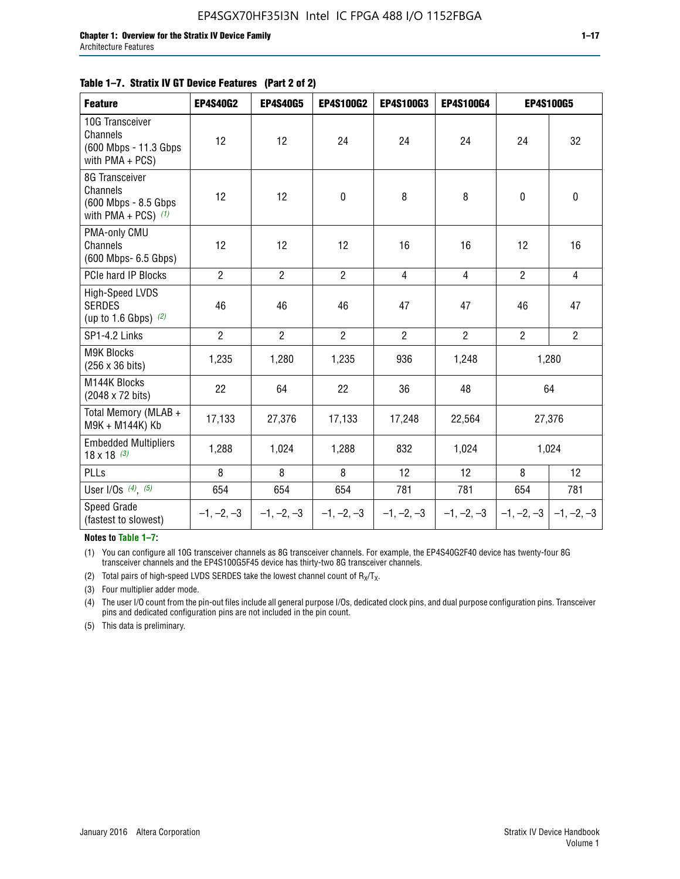#### **Table 1–7. Stratix IV GT Device Features (Part 2 of 2)**

| <b>Feature</b>                                                              | <b>EP4S40G2</b> | <b>EP4S40G5</b> | <b>EP4S100G2</b> | <b>EP4S100G3</b> | <b>EP4S100G4</b> |                | <b>EP4S100G5</b>          |
|-----------------------------------------------------------------------------|-----------------|-----------------|------------------|------------------|------------------|----------------|---------------------------|
| 10G Transceiver<br>Channels<br>(600 Mbps - 11.3 Gbps<br>with PMA + PCS)     | 12              | 12              | 24               | 24               | 24               | 24             | 32                        |
| 8G Transceiver<br>Channels<br>(600 Mbps - 8.5 Gbps<br>with PMA + PCS) $(1)$ | 12              | 12              | $\pmb{0}$        | 8                | 8                | $\mathbf 0$    | 0                         |
| PMA-only CMU<br>Channels<br>(600 Mbps- 6.5 Gbps)                            | 12              | 12              | 12               | 16               | 16               | 12             | 16                        |
| PCIe hard IP Blocks                                                         | $\overline{2}$  | $\overline{2}$  | $\overline{2}$   | $\overline{4}$   | $\overline{4}$   | $\overline{2}$ | $\overline{4}$            |
| <b>High-Speed LVDS</b><br><b>SERDES</b><br>(up to 1.6 Gbps) $(2)$           | 46              | 46              | 46               | 47               | 47               | 46             | 47                        |
| SP1-4.2 Links                                                               | $\overline{2}$  | $\overline{2}$  | $\overline{2}$   | $\overline{2}$   | $\overline{2}$   | $\overline{2}$ | $\overline{2}$            |
| <b>M9K Blocks</b><br>(256 x 36 bits)                                        | 1,235           | 1,280           | 1,235            | 936              | 1,248            |                | 1,280                     |
| M144K Blocks<br>(2048 x 72 bits)                                            | 22              | 64              | 22               | 36               | 48               |                | 64                        |
| Total Memory (MLAB +<br>M9K + M144K) Kb                                     | 17,133          | 27,376          | 17,133           | 17,248           | 22,564           |                | 27,376                    |
| <b>Embedded Multipliers</b><br>$18 \times 18^{(3)}$                         | 1,288           | 1,024           | 1,288            | 832              | 1,024            |                | 1,024                     |
| PLLs                                                                        | 8               | 8               | 8                | 12               | 12               | 8              | 12                        |
| User I/Os $(4)$ , $(5)$                                                     | 654             | 654             | 654              | 781              | 781              | 654            | 781                       |
| Speed Grade<br>(fastest to slowest)                                         | $-1, -2, -3$    | $-1, -2, -3$    | $-1, -2, -3$     | $-1, -2, -3$     | $-1, -2, -3$     |                | $-1, -2, -3$ $-1, -2, -3$ |

**Notes to Table 1–7:**

(1) You can configure all 10G transceiver channels as 8G transceiver channels. For example, the EP4S40G2F40 device has twenty-four 8G transceiver channels and the EP4S100G5F45 device has thirty-two 8G transceiver channels.

(2) Total pairs of high-speed LVDS SERDES take the lowest channel count of  $R_X/T_X$ .

(3) Four multiplier adder mode.

(4) The user I/O count from the pin-out files include all general purpose I/Os, dedicated clock pins, and dual purpose configuration pins. Transceiver pins and dedicated configuration pins are not included in the pin count.

(5) This data is preliminary.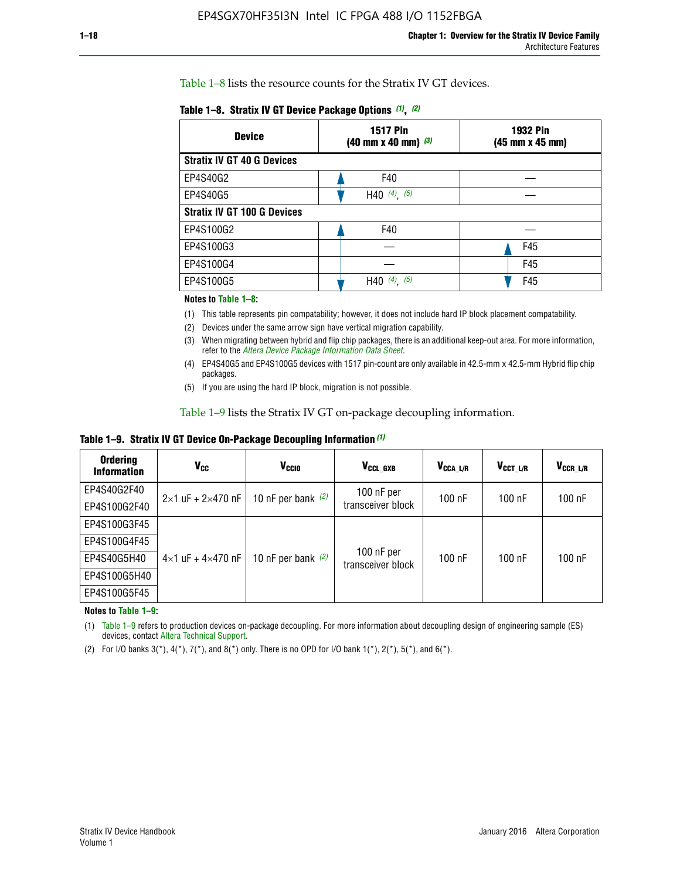Table 1–8 lists the resource counts for the Stratix IV GT devices.

| <b>Device</b>                      | <b>1517 Pin</b><br><b>1932 Pin</b><br>$(40 \text{ mm} \times 40 \text{ mm})$ (3)<br>(45 mm x 45 mm) |     |  |
|------------------------------------|-----------------------------------------------------------------------------------------------------|-----|--|
| <b>Stratix IV GT 40 G Devices</b>  |                                                                                                     |     |  |
| EP4S40G2                           | F40                                                                                                 |     |  |
| EP4S40G5                           | H40 $(4)$ , $(5)$                                                                                   |     |  |
| <b>Stratix IV GT 100 G Devices</b> |                                                                                                     |     |  |
| EP4S100G2                          | F40                                                                                                 |     |  |
| EP4S100G3                          |                                                                                                     | F45 |  |
| EP4S100G4                          |                                                                                                     | F45 |  |
| EP4S100G5                          | (4)<br>(5)<br>H40                                                                                   | F45 |  |

#### **Notes to Table 1–8:**

(1) This table represents pin compatability; however, it does not include hard IP block placement compatability.

- (2) Devices under the same arrow sign have vertical migration capability.
- (3) When migrating between hybrid and flip chip packages, there is an additional keep-out area. For more information, refer to the *[Altera Device Package Information Data Sheet](http://www.altera.com/literature/ds/dspkg.pdf)*.
- (4) EP4S40G5 and EP4S100G5 devices with 1517 pin-count are only available in 42.5-mm x 42.5-mm Hybrid flip chip packages.
- (5) If you are using the hard IP block, migration is not possible.

Table 1–9 lists the Stratix IV GT on-package decoupling information.

**Table 1–9. Stratix IV GT Device On-Package Decoupling Information** *(1)*

| <b>Ordering</b><br><b>Information</b> | Vcc                                 | <b>V<sub>CCIO</sub></b> | V <sub>CCL GXB</sub>            | V <sub>CCA L/R</sub> | V <sub>CCT L/R</sub> | $V_{CCR\_L/R}$ |
|---------------------------------------|-------------------------------------|-------------------------|---------------------------------|----------------------|----------------------|----------------|
| EP4S40G2F40                           | $2 \times 1$ uF + $2 \times 470$ nF | 10 nF per bank $(2)$    | 100 nF per<br>transceiver block | $100$ nF             | $100$ nF             | $100$ nF       |
| EP4S100G2F40                          |                                     |                         |                                 |                      |                      |                |
| EP4S100G3F45                          |                                     | 10 nF per bank $(2)$    | 100 nF per<br>transceiver block | $100$ nF             | $100$ nF             | $100$ nF       |
| EP4S100G4F45                          |                                     |                         |                                 |                      |                      |                |
| EP4S40G5H40                           | $4\times1$ uF + $4\times470$ nF     |                         |                                 |                      |                      |                |
| EP4S100G5H40                          |                                     |                         |                                 |                      |                      |                |
| EP4S100G5F45                          |                                     |                         |                                 |                      |                      |                |

**Notes to Table 1–9:**

(1) Table 1–9 refers to production devices on-package decoupling. For more information about decoupling design of engineering sample (ES) devices, contact [Altera Technical Support](http://mysupport.altera.com/eservice/login.asp).

(2) For I/O banks  $3(*)$ ,  $4(*)$ ,  $7(*)$ , and  $8(*)$  only. There is no OPD for I/O bank  $1(*)$ ,  $2(*)$ ,  $5(*)$ , and  $6(*)$ .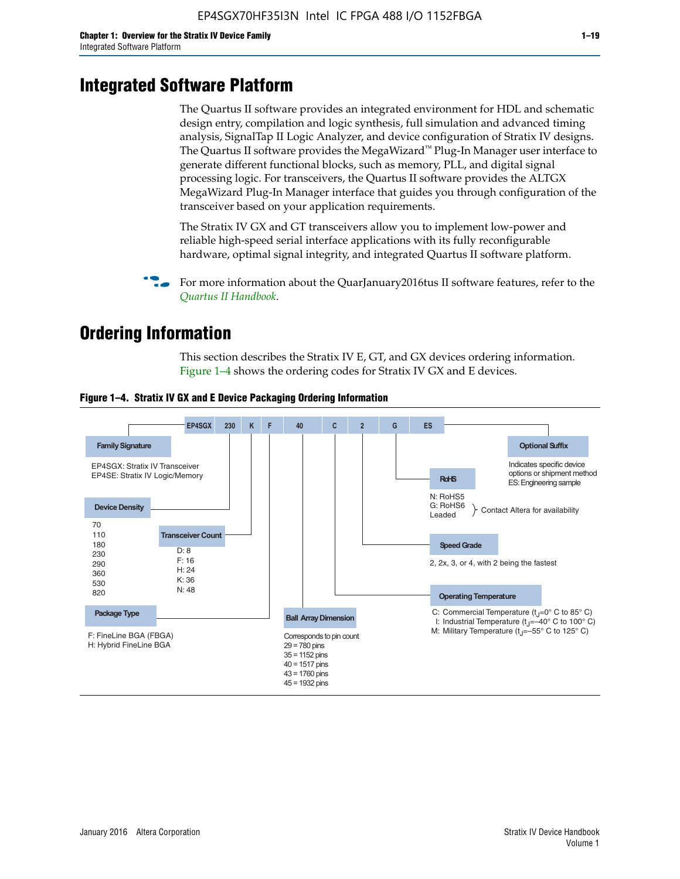# **Integrated Software Platform**

The Quartus II software provides an integrated environment for HDL and schematic design entry, compilation and logic synthesis, full simulation and advanced timing analysis, SignalTap II Logic Analyzer, and device configuration of Stratix IV designs. The Quartus II software provides the MegaWizard<sup> $M$ </sup> Plug-In Manager user interface to generate different functional blocks, such as memory, PLL, and digital signal processing logic. For transceivers, the Quartus II software provides the ALTGX MegaWizard Plug-In Manager interface that guides you through configuration of the transceiver based on your application requirements.

The Stratix IV GX and GT transceivers allow you to implement low-power and reliable high-speed serial interface applications with its fully reconfigurable hardware, optimal signal integrity, and integrated Quartus II software platform.

For more information about the QuarJanuary2016tus II software features, refer to the *[Quartus II Handbook](http://www.altera.com/literature/lit-qts.jsp)*.

# **Ordering Information**

This section describes the Stratix IV E, GT, and GX devices ordering information. Figure 1–4 shows the ordering codes for Stratix IV GX and E devices.



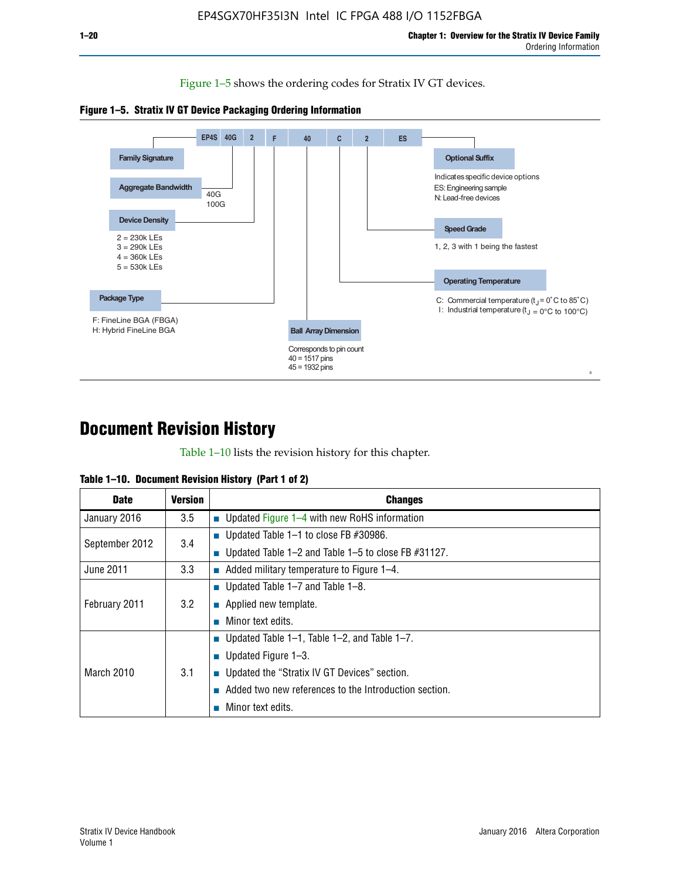Figure 1–5 shows the ordering codes for Stratix IV GT devices.





# **Document Revision History**

Table 1–10 lists the revision history for this chapter.

| Table 1–10. Document Revision History (Part 1 of 2) |  |  |  |  |  |
|-----------------------------------------------------|--|--|--|--|--|
|-----------------------------------------------------|--|--|--|--|--|

| <b>Date</b>       | Version | <b>Changes</b>                                         |
|-------------------|---------|--------------------------------------------------------|
| January 2016      | $3.5\,$ | <b>Updated Figure 1–4 with new RoHS information</b>    |
| September 2012    | 3.4     | ■ Updated Table 1–1 to close FB $#30986$ .             |
|                   |         | Updated Table 1–2 and Table 1–5 to close FB $#31127$ . |
| June 2011         | 3.3     | Added military temperature to Figure 1–4.              |
|                   |         | ■ Updated Table 1–7 and Table 1–8.                     |
| February 2011     | 3.2     | $\blacksquare$ Applied new template.                   |
|                   |         | Minor text edits.                                      |
|                   |         | <b>Updated Table 1–1, Table 1–2, and Table 1–7.</b>    |
| <b>March 2010</b> | 3.1     | ■ Updated Figure $1-3$ .                               |
|                   |         | ■ Updated the "Stratix IV GT Devices" section.         |
|                   |         | Added two new references to the Introduction section.  |
|                   |         | Minor text edits.                                      |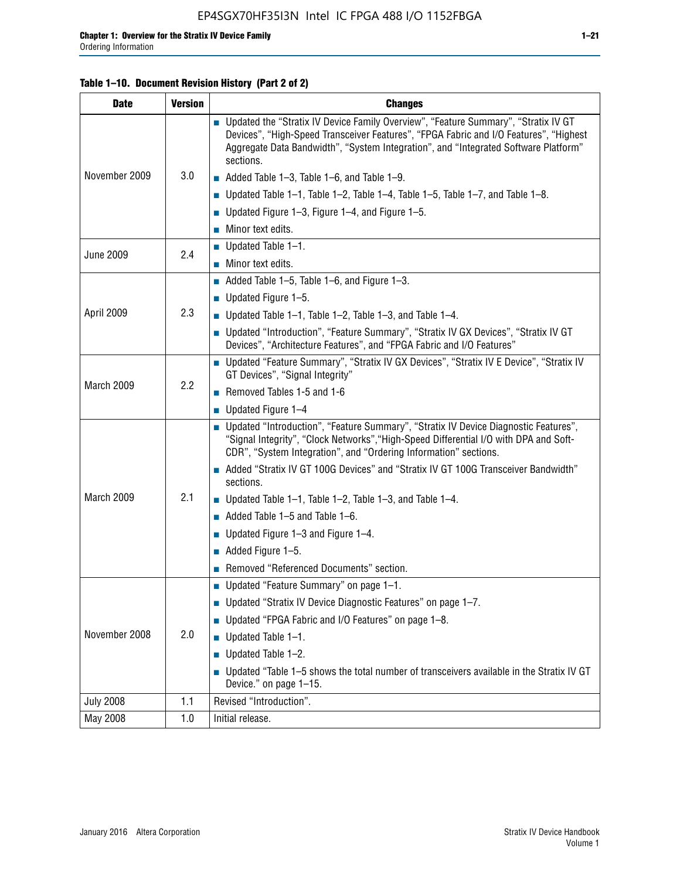#### **Table 1–10. Document Revision History (Part 2 of 2)**

| <b>Date</b>      | <b>Version</b> | <b>Changes</b>                                                                                                                                                                                                                                                                    |  |  |
|------------------|----------------|-----------------------------------------------------------------------------------------------------------------------------------------------------------------------------------------------------------------------------------------------------------------------------------|--|--|
|                  |                | ■ Updated the "Stratix IV Device Family Overview", "Feature Summary", "Stratix IV GT<br>Devices", "High-Speed Transceiver Features", "FPGA Fabric and I/O Features", "Highest<br>Aggregate Data Bandwidth", "System Integration", and "Integrated Software Platform"<br>sections. |  |  |
| November 2009    | 3.0            | $\blacksquare$ Added Table 1-3, Table 1-6, and Table 1-9.                                                                                                                                                                                                                         |  |  |
|                  |                | $\blacksquare$ Updated Table 1-1, Table 1-2, Table 1-4, Table 1-5, Table 1-7, and Table 1-8.                                                                                                                                                                                      |  |  |
|                  |                | ■ Updated Figure 1–3, Figure 1–4, and Figure 1–5.                                                                                                                                                                                                                                 |  |  |
|                  |                | $\blacksquare$ Minor text edits.                                                                                                                                                                                                                                                  |  |  |
| <b>June 2009</b> | 2.4            | $\blacksquare$ Updated Table 1-1.                                                                                                                                                                                                                                                 |  |  |
|                  |                | Minor text edits.                                                                                                                                                                                                                                                                 |  |  |
|                  |                | $\blacksquare$ Added Table 1–5, Table 1–6, and Figure 1–3.                                                                                                                                                                                                                        |  |  |
|                  |                | $\blacksquare$ Updated Figure 1-5.                                                                                                                                                                                                                                                |  |  |
| April 2009       | 2.3            | Updated Table $1-1$ , Table $1-2$ , Table $1-3$ , and Table $1-4$ .                                                                                                                                                                                                               |  |  |
|                  |                | ■ Updated "Introduction", "Feature Summary", "Stratix IV GX Devices", "Stratix IV GT<br>Devices", "Architecture Features", and "FPGA Fabric and I/O Features"                                                                                                                     |  |  |
|                  | 2.2            | ■ Updated "Feature Summary", "Stratix IV GX Devices", "Stratix IV E Device", "Stratix IV<br>GT Devices", "Signal Integrity"                                                                                                                                                       |  |  |
| March 2009       |                | Removed Tables 1-5 and 1-6                                                                                                                                                                                                                                                        |  |  |
|                  |                | Updated Figure 1-4                                                                                                                                                                                                                                                                |  |  |
|                  |                | ■ Updated "Introduction", "Feature Summary", "Stratix IV Device Diagnostic Features",<br>"Signal Integrity", "Clock Networks", "High-Speed Differential I/O with DPA and Soft-<br>CDR", "System Integration", and "Ordering Information" sections.                                |  |  |
|                  |                | Added "Stratix IV GT 100G Devices" and "Stratix IV GT 100G Transceiver Bandwidth"<br>sections.                                                                                                                                                                                    |  |  |
| March 2009       | 2.1            | <b>Updated Table 1–1, Table 1–2, Table 1–3, and Table 1–4.</b>                                                                                                                                                                                                                    |  |  |
|                  |                | $\blacksquare$ Added Table 1-5 and Table 1-6.                                                                                                                                                                                                                                     |  |  |
|                  |                | ■ Updated Figure $1-3$ and Figure $1-4$ .                                                                                                                                                                                                                                         |  |  |
|                  |                | $\blacksquare$ Added Figure 1-5.                                                                                                                                                                                                                                                  |  |  |
|                  |                | Removed "Referenced Documents" section.                                                                                                                                                                                                                                           |  |  |
|                  | 2.0            | Updated "Feature Summary" on page 1-1.                                                                                                                                                                                                                                            |  |  |
| November 2008    |                | ■ Updated "Stratix IV Device Diagnostic Features" on page 1-7.                                                                                                                                                                                                                    |  |  |
|                  |                | Updated "FPGA Fabric and I/O Features" on page 1-8.                                                                                                                                                                                                                               |  |  |
|                  |                | $\blacksquare$ Updated Table 1-1.                                                                                                                                                                                                                                                 |  |  |
|                  |                | Updated Table 1-2.                                                                                                                                                                                                                                                                |  |  |
|                  |                | Updated "Table 1-5 shows the total number of transceivers available in the Stratix IV GT<br>Device." on page 1-15.                                                                                                                                                                |  |  |
| <b>July 2008</b> | 1.1            | Revised "Introduction".                                                                                                                                                                                                                                                           |  |  |
| May 2008         | 1.0            | Initial release.                                                                                                                                                                                                                                                                  |  |  |